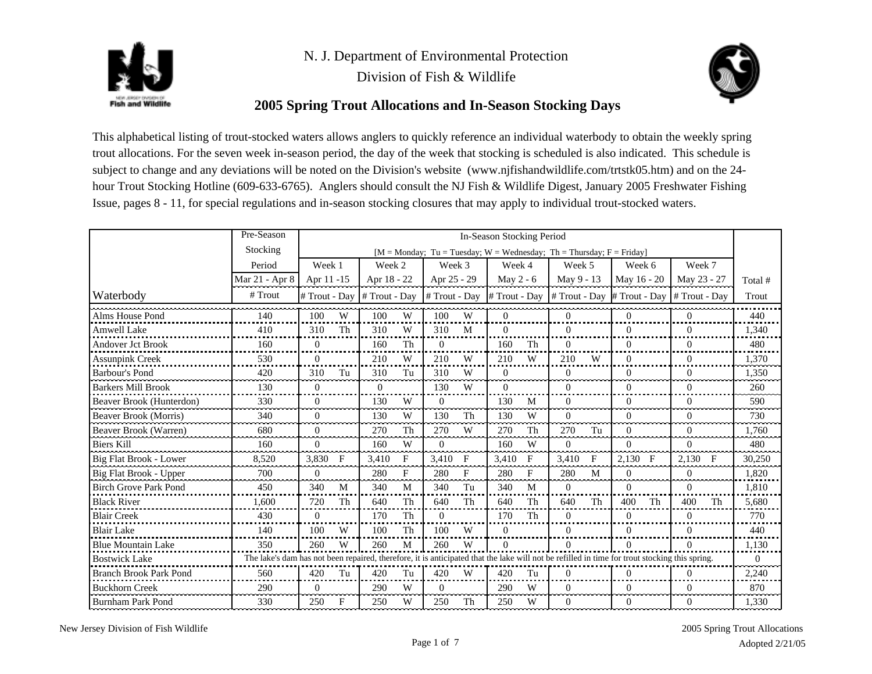



Division of Fish & Wildlife



## **2005 Spring Trout Allocations and In-Season Stocking Days**

This alphabetical listing of trout-stocked waters allows anglers to quickly reference an individual waterbody to obtain the weekly spring trout allocations. For the seven week in-season period, the day of the week that stocking is scheduled is also indicated. This schedule is subject to change and any deviations will be noted on the Division's website (www.njfishandwildlife.com/trtstk05.htm) and on the 24 hour Trout Stocking Hotline (609-633-6765). Anglers should consult the NJ Fish & Wildlife Digest, January 2005 Freshwater Fishing Issue, pages 8 - 11, for special regulations and in-season stocking closures that may apply to individual trout-stocked waters.

|                               | Pre-Season                                                                                                                                    | In-Season Stocking Period |    |               |             |               |            |           |    |                                                                        |            |                |             |                  |              |          |
|-------------------------------|-----------------------------------------------------------------------------------------------------------------------------------------------|---------------------------|----|---------------|-------------|---------------|------------|-----------|----|------------------------------------------------------------------------|------------|----------------|-------------|------------------|--------------|----------|
|                               | Stocking                                                                                                                                      |                           |    |               |             |               |            |           |    | $[M = Monday; Tu = Tuesday; W = Wednesday; Th = Thursday; F = Friday]$ |            |                |             |                  |              |          |
|                               | Period                                                                                                                                        | Week 1                    |    | Week 2        |             | Week 3        |            | Week 4    |    | Week 5                                                                 |            | Week 6         |             | Week 7           |              |          |
|                               | Mar 21 - Apr 8                                                                                                                                | Apr 11 -15                |    | Apr 18 - 22   |             | Apr 25 - 29   |            | May 2 - 6 |    | May 9 - 13                                                             |            | May 16 - 20    |             | May 23 - 27      |              | Total #  |
| Waterbody                     | # Trout                                                                                                                                       | # Trout - Dav             |    | # Trout - Day |             | # Trout - Day |            |           |    | # Trout - Day   # Trout - Day                                          |            | # Trout - Day  |             | # Trout - Dav    |              | Trout    |
| Alms House Pond               | 140                                                                                                                                           | 100                       | W  | 100           | W           | 100           | W          | $\Omega$  |    | $\Omega$                                                               |            | $\Omega$       |             | $\Omega$         |              | 440      |
| <b>Amwell Lake</b>            | 410                                                                                                                                           | 310                       | Th | 310           | W           | 310           | M          | $\Omega$  |    | $\Omega$                                                               |            | $\Omega$       |             | $\Omega$         |              | 1.340    |
| <b>Andover Jct Brook</b>      | 160                                                                                                                                           | $\theta$                  |    | 160           | Th          | $\Omega$      |            | 160       | Th | $\Omega$                                                               |            | $\Omega$       |             | $\Omega$         |              | 480      |
| Assunpink Creek               | 530                                                                                                                                           | $\Omega$                  |    | 210           | W           | 210           | W          | 210       | W  | 210                                                                    | W          | $\Omega$       |             | $\boldsymbol{0}$ |              | 1,370    |
| Barbour's Pond                | 420                                                                                                                                           | 310                       | Tu | 310           | Tu          | 310           | W          | $\Omega$  |    | $\Omega$                                                               |            | $\Omega$       |             | $\Omega$         |              | 1.350    |
| <b>Barkers Mill Brook</b>     | 130                                                                                                                                           | $\Omega$                  |    | $\Omega$      |             | 130           | W          | $\Omega$  |    | 0                                                                      |            | $\Omega$       |             | $\Omega$         |              | 260      |
| Beaver Brook (Hunterdon)      | 330                                                                                                                                           | $\Omega$                  |    | 130           | W           | $\mathbf{0}$  |            | 130       | M  | $\Omega$                                                               |            | $\Omega$       |             | $\Omega$         |              | 590      |
| Beaver Brook (Morris)         | 340                                                                                                                                           | $\Omega$                  |    | 130           | W           | 130           | Th         | 130       | W  | $\theta$                                                               |            | $\overline{0}$ |             | $\boldsymbol{0}$ |              | 730      |
| Beaver Brook (Warren)         | 680                                                                                                                                           | $\Omega$                  |    | 270           | Th          | 270           | W          | 270       | Th | 270                                                                    | Tu         | $\overline{0}$ |             | $\boldsymbol{0}$ |              | 1.760    |
| <b>Biers Kill</b>             | 160                                                                                                                                           | $\Omega$                  |    | 160           | W           | $\Omega$      |            | 160       | W  | $\Omega$                                                               |            | $\Omega$       |             | $\Omega$         |              | 480      |
| Big Flat Brook - Lower        | 8.520                                                                                                                                         | 3.830                     | F  | 3.410         | F           | 3,410         | $_{\rm F}$ | 3,410     | F  | 3.410                                                                  | $_{\rm F}$ | 2.130          | $\mathbf F$ | 2,130            | $\mathbf{F}$ | 30,250   |
| Big Flat Brook - Upper        | 700                                                                                                                                           | $\overline{0}$            |    | 280           | $\mathbf F$ | 280           | F          | 280       | F  | 280                                                                    | M          | $\overline{0}$ |             | $\mathbf{0}$     |              | 1.820    |
| <b>Birch Grove Park Pond</b>  | 450                                                                                                                                           | 340                       | M  | 340           | M           | 340           | Tu         | 340       | M  | $\overline{0}$                                                         |            | $\overline{0}$ |             | $\Omega$         |              | 1,810    |
| <b>Black River</b>            | 1.600                                                                                                                                         | 720                       | Th | 640           | Th          | 640           | Th         | 640       | Th | 640                                                                    | Th         | 400            | Th          | 400              | Th           | 5,680    |
| <b>Blair Creek</b>            | 430                                                                                                                                           | $\theta$                  |    | 170           | Th          | $\Omega$      |            | 170       | Th | $\Omega$                                                               |            | $\Omega$       |             | $\Omega$         |              | 770      |
| <b>Blair Lake</b>             | 140                                                                                                                                           | 100                       | W  | 100           | Th          | 100           | W          | $\Omega$  |    | $\mathbf{0}$                                                           |            | $\theta$       |             | $\mathbf{0}$     |              | 440      |
| <b>Blue Mountain Lake</b>     | 350                                                                                                                                           | 260                       | W  | 260           | M           | 260           | W          | $\Omega$  |    | $\theta$                                                               |            | $\Omega$       |             | $\Omega$         |              | 1,130    |
| <b>Bostwick Lake</b>          | The lake's dam has not been repaired, therefore, it is anticipated that the lake will not be refilled in time for trout stocking this spring. |                           |    |               |             |               |            |           |    |                                                                        |            |                |             |                  |              | $\Omega$ |
| <b>Branch Brook Park Pond</b> | 560                                                                                                                                           | 420                       | Tu | 420           | Tu          | 420           | W          | 420       | Tu | 0                                                                      |            | $\Omega$       |             | 0                |              | 2,240    |
| <b>Buckhorn Creek</b>         | 290                                                                                                                                           | $\Omega$                  |    | 290           | W           | $\Omega$      |            | 290       | W  | $\Omega$                                                               |            | $\Omega$       |             | $\Omega$         |              | 870      |
| <b>Burnham Park Pond</b>      | 330                                                                                                                                           | 250                       | F  | 250           | W           | 250           | Th         | 250       | W  | $\Omega$                                                               |            | $\Omega$       |             | $\Omega$         |              | 1,330    |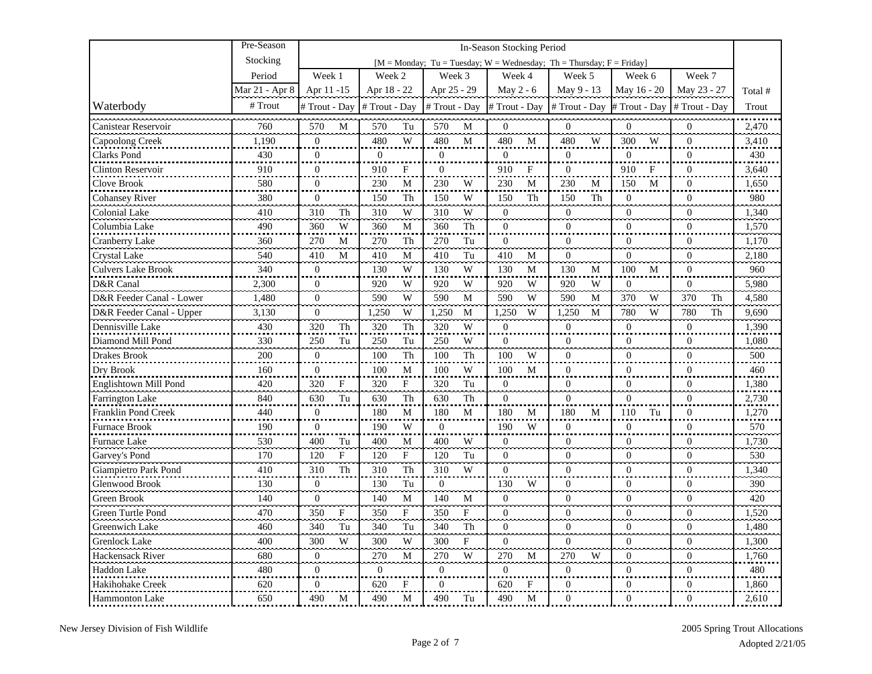|                            | Pre-Season     |                  |             | In-Season Stocking Period |              |                  |              |                  |             |                                                                             |    |                  |            |                  |    |         |
|----------------------------|----------------|------------------|-------------|---------------------------|--------------|------------------|--------------|------------------|-------------|-----------------------------------------------------------------------------|----|------------------|------------|------------------|----|---------|
|                            | Stocking       |                  |             |                           |              |                  |              |                  |             | [ $M = Monday$ ; Tu = Tuesday; $W = Wednesday$ ; Th = Thursday; F = Friday] |    |                  |            |                  |    |         |
|                            | Period         | Week 1           |             | Week 2                    |              | Week 3           |              | Week 4           |             | Week 5                                                                      |    | Week 6           |            | Week 7           |    |         |
|                            | Mar 21 - Apr 8 | Apr 11 -15       |             | Apr 18 - 22               |              | Apr 25 - 29      |              | May 2 - 6        |             | May 9 - 13                                                                  |    | May 16 - 20      |            | May 23 - 27      |    | Total # |
| Waterbody                  | # Trout        | # Trout - Day    |             | # Trout - Day             |              | # Trout - Day    |              | # Trout - Day    |             | # Trout - Day                                                               |    | # Trout - Day    |            | # Trout - Day    |    | Trout   |
| Canistear Reservoir        | 760            | 570              | M           | 570                       | Tu           | 570              | M            | $\theta$         |             | $\theta$                                                                    |    | $\Omega$         |            | $\mathbf{0}$     |    | 2,470   |
| Capoolong Creek            | 1,190          | $\mathbf{0}$     |             | 480                       | W            | 480              | M            | 480              | M           | 480                                                                         | W  | 300              | W          | $\overline{0}$   |    | 3,410   |
| Clarks Pond                | 430            | $\mathbf{0}$     |             | $\overline{0}$            |              | $\Omega$         |              | $\theta$         |             | $\Omega$                                                                    |    | $\Omega$         |            | $\Omega$         |    | 430     |
| <b>Clinton Reservoir</b>   | 910            | $\overline{0}$   |             | 910                       | F            | $\overline{0}$   |              | 910              | F           | $\overline{0}$                                                              |    | 910              | $_{\rm F}$ | $\theta$         |    | 3,640   |
| Clove Brook                | 580            | $\overline{0}$   |             | 230                       | M            | 230              | W            | 230              | M           | 230                                                                         | M  | 150              | M          | $\Omega$         |    | 1,650   |
| <b>Cohansey River</b>      | 380            | $\boldsymbol{0}$ |             | 150                       | Th           | 150              | W            | 150              | Th          | 150                                                                         | Th | $\overline{0}$   |            | $\boldsymbol{0}$ |    | 980     |
| <b>Colonial Lake</b>       | 410            | 310              | Th          | 310                       | W            | 310              | W            | $\overline{0}$   |             | $\theta$                                                                    |    | $\overline{0}$   |            | $\theta$         |    | 1,340   |
| Columbia Lake              | 490            | 360              | W           | 360                       | M            | 360              | Th           | $\mathbf{0}$     |             | $\overline{0}$                                                              |    | $\mathbf{0}$     |            | $\overline{0}$   |    | 1,570   |
| Cranberry Lake             | 360            | 270              | M           | 270                       | Th           | 270              | Tu           | $\mathbf{0}$     |             | $\theta$                                                                    |    | $\overline{0}$   |            | $\Omega$         |    | 1,170   |
| <b>Crystal Lake</b>        | 540            | 410              | M           | 410                       | M            | 410              | Tu           | 410              | M           | $\Omega$                                                                    |    | $\Omega$         |            | $\Omega$         |    | 2,180   |
| <b>Culvers Lake Brook</b>  | 340            | $\overline{0}$   |             | 130                       | W            | 130              | W            | 130              | M           | 130                                                                         | M  | 100              | M          | $\overline{0}$   |    | 960     |
| D&R Canal                  | 2,300          | $\mathbf{0}$     |             | 920                       | W            | 920              | W            | 920              | W           | 920                                                                         | W  | $\boldsymbol{0}$ |            | $\mathbf{0}$     |    | 5,980   |
| D&R Feeder Canal - Lower   | 1,480          | $\overline{0}$   |             | 590                       | W            | 590              | М            | 590              | W           | 590                                                                         | М  | 370              | W          | 370              | Th | 4,580   |
| D&R Feeder Canal - Upper   | 3,130          | $\boldsymbol{0}$ |             | 1,250                     | W            | 1,250            | M            | 1,250            | W           | 1,250                                                                       | M  | 780              | W          | 780              | Th | 9,690   |
| Dennisville Lake           | 430            | 320              | Th          | 320                       | Th           | 320              | W            | $\mathbf{0}$     |             | $\mathbf{0}$                                                                |    | $\overline{0}$   |            | $\boldsymbol{0}$ |    | 1,390   |
| Diamond Mill Pond          | 330            | 250              | Tu          | 250                       | Tu           | 250              | W            | $\mathbf{0}$     |             | $\Omega$                                                                    |    | $\mathbf{0}$     |            | $\Omega$         |    | 1,080   |
| Drakes Brook               | 200            | $\overline{0}$   |             | 100                       | Th           | 100              | Th           | 100              | W           | $\mathbf{0}$                                                                |    | $\mathbf{0}$     |            | $\theta$         |    | 500     |
| Dry Brook                  | 160            | $\boldsymbol{0}$ |             | 100                       | М            | 100              | W            | 100              | M           | $\mathbf{0}$                                                                |    | $\mathbf{0}$     |            | $\overline{0}$   |    | 460     |
| Englishtown Mill Pond      | 420            | 320              | $\mathbf F$ | 320                       | $\mathbf{F}$ | 320              | Tu           | $\overline{0}$   |             | $\theta$                                                                    |    | $\mathbf{0}$     |            | $\Omega$         |    | 1,380   |
| Farrington Lake            | 840            | 630              | Tu          | 630                       | Th           | 630              | Th           | $\mathbf{0}$     |             | $\theta$                                                                    |    | $\mathbf{0}$     |            | $\mathbf{0}$     |    | 2,730   |
| <b>Franklin Pond Creek</b> | 440            | $\mathbf{0}$     |             | 180                       | М            | 180              | M            | 180              | M           | 180                                                                         | M  | 110              | Tu         | $\Omega$         |    | 1,270   |
| Furnace Brook              | 190            | $\boldsymbol{0}$ |             | 190                       | W            | $\overline{0}$   |              | 190              | W           | $\Omega$                                                                    |    | $\boldsymbol{0}$ |            | $\Omega$         |    | 570     |
| Furnace Lake               | 530            | 400              | Tu          | 400                       | М            | 400              | W            | $\boldsymbol{0}$ |             | $\overline{0}$                                                              |    | $\mathbf{0}$     |            | $\overline{0}$   |    | 1,730   |
| Garvey's Pond              | 170            | 120              | F           | 120                       | F            | 120              | Tu           | $\mathbf{0}$     |             | $\boldsymbol{0}$                                                            |    | $\mathbf{0}$     |            | $\mathbf{0}$     |    | 530     |
| Giampietro Park Pond       | 410            | 310              | Th          | 310                       | Th           | 310              | W            | $\Omega$         |             | $\theta$                                                                    |    | $\overline{0}$   |            | $\Omega$         |    | 1,340   |
| <b>Glenwood Brook</b>      | 130            | $\theta$         |             | 130                       | Tu           | $\Omega$         |              | 130              | W           | $\theta$                                                                    |    | $\Omega$         |            | $\Omega$         |    | 390     |
| Green Brook                | 140            | $\theta$         |             | 140                       | $\mathbf M$  | 140              | ${\bf M}$    | $\boldsymbol{0}$ |             | $\theta$                                                                    |    | $\Omega$         |            | $\theta$         |    | 420     |
| Green Turtle Pond          | 470            | 350              | F           | 350                       | $_{\rm F}$   | 350              | $\mathbf{F}$ | $\Omega$         |             | $\Omega$                                                                    |    | $\Omega$         |            | $\Omega$         |    | 1.520   |
| Greenwich Lake             | 460            | 340              | Tu          | 340                       | Tu           | 340              | Th           | $\overline{0}$   |             | $\mathbf{0}$                                                                |    | $\boldsymbol{0}$ |            | $\overline{0}$   |    | 1,480   |
| <b>Grenlock Lake</b>       | 400            | 300              | W           | 300                       | W            | 300              | $\mathbf{F}$ | $\Omega$         |             | $\theta$                                                                    |    | $\overline{0}$   |            | $\Omega$         |    | 1,300   |
| Hackensack River           | 680            | $\boldsymbol{0}$ |             | 270                       | M            | 270              | W            | 270              | M           | 270                                                                         | W  | $\overline{0}$   |            | $\overline{0}$   |    | 1,760   |
| Haddon Lake                | 480            | $\boldsymbol{0}$ |             | $\boldsymbol{0}$          |              | $\boldsymbol{0}$ |              | $\overline{0}$   |             | $\mathbf{0}$                                                                |    | $\mathbf{0}$     |            | $\overline{0}$   |    | 480     |
| Hakihohake Creek           | 620            | $\mathbf{0}$     |             | 620                       | F            | 0                |              | 620              | $\mathbf F$ | $\boldsymbol{0}$                                                            |    | $\boldsymbol{0}$ |            | $\overline{0}$   |    | 1,860   |
| <b>Hammonton Lake</b>      | 650            | 490              | M           | 490                       | M            | 490              | Tu           | 490              | M           | $\Omega$                                                                    |    | $\overline{0}$   |            | $\Omega$         |    | 2,610   |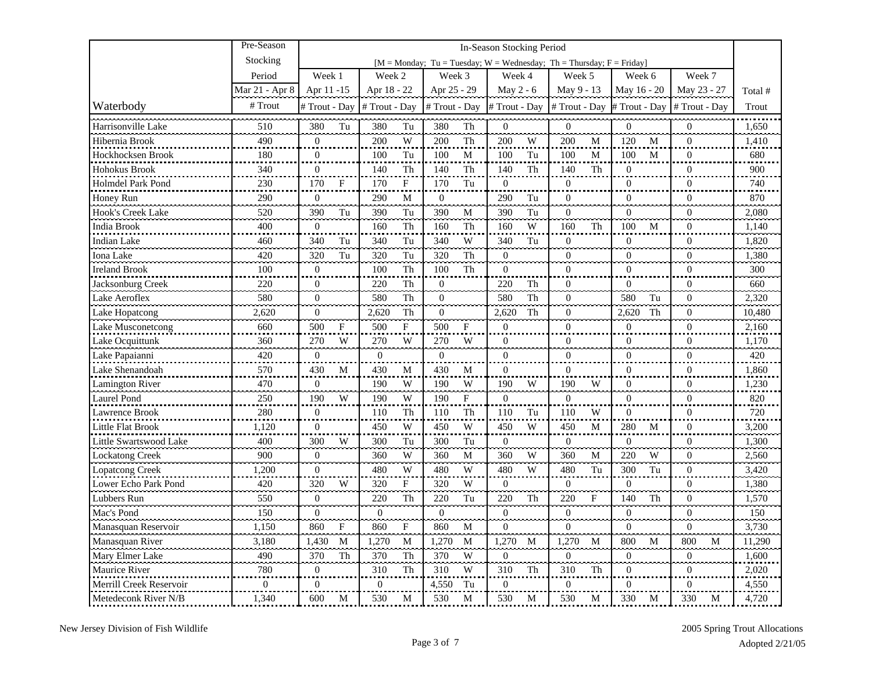|                          | Pre-Season       |                  |                     |                                  | In-Season Stocking Period |                                                                      |                  |                  |         |
|--------------------------|------------------|------------------|---------------------|----------------------------------|---------------------------|----------------------------------------------------------------------|------------------|------------------|---------|
|                          | Stocking         |                  |                     |                                  |                           | [M = Monday; Tu = Tuesday; W = Wednesday; Th = Thursday; F = Friday] |                  |                  |         |
|                          | Period           | Week 1           | Week 2              | Week 3                           | Week 4                    | Week 5                                                               | Week 6           | Week 7           |         |
|                          | Mar 21 - Apr 8   | Apr 11 -15       | Apr 18 - 22         | Apr 25 - 29                      | May 2 - 6                 | May 9 - 13                                                           | May 16 - 20      | May 23 - 27      | Total # |
| Waterbody                | # Trout          | # Trout - Day    | # Trout - Day       | #Trout - Day                     | # Trout - Day             | # Trout - Day                                                        | # Trout - Day    | # Trout - Day    | Trout   |
| Harrisonville Lake       | 510              | 380<br>Tu        | 380<br>Tu           | 380<br>Th                        | $\overline{0}$            | $\overline{0}$                                                       | $\overline{0}$   | $\overline{0}$   | 1,650   |
| Hibernia Brook           | 490              | $\mathbf{0}$     | 200<br>W            | 200<br>Th                        | 200<br>W                  | 200<br>M                                                             | 120<br>M         | $\overline{0}$   | 1,410   |
| Hockhocksen Brook        | 180              | $\mathbf{0}$     | Tu<br>100           | 100<br>M                         | 100<br>Tu                 | 100<br>M                                                             | 100<br>M         | $\Omega$         | 680     |
| Hohokus Brook            | 340              | $\overline{0}$   | Th<br>140           | 140<br>Th                        | 140<br>Th                 | 140<br>Th                                                            | $\overline{0}$   | $\overline{0}$   | 900     |
| Holmdel Park Pond        | 230              | 170<br>F         | ${\bf F}$<br>170    | 170<br>Tu                        | $\boldsymbol{0}$          | $\boldsymbol{0}$                                                     | $\boldsymbol{0}$ | $\theta$         | 740     |
| Honey Run                | 290              | $\boldsymbol{0}$ | 290<br>M            | $\overline{0}$                   | 290<br>Tu                 | $\boldsymbol{0}$                                                     | $\boldsymbol{0}$ | $\boldsymbol{0}$ | 870     |
| Hook's Creek Lake        | 520              | 390<br>Tu        | 390<br>Tu           | 390<br>$\mathbf M$               | 390<br>Tu                 | $\overline{0}$                                                       | $\boldsymbol{0}$ | $\overline{0}$   | 2,080   |
| India Brook              | 400              | $\theta$         | 160<br>Th           | 160<br>Th                        | W<br>160                  | 160<br>Th                                                            | 100<br>M         | $\theta$         | 1,140   |
| <b>Indian Lake</b>       | 460              | 340<br>Tu        | Tu<br>340           | W<br>340                         | 340<br>Tu                 | $\Omega$                                                             | $\overline{0}$   | $\theta$         | 1,820   |
| Iona Lake                | 420              | 320<br>Tu        | 320<br>Tu           | 320<br>Th                        | $\theta$                  | $\Omega$                                                             | $\boldsymbol{0}$ | $\theta$         | 1,380   |
| <b>Ireland Brook</b>     | 100              | $\mathbf{0}$     | 100<br>Th           | 100<br>${\rm Th}$                | $\overline{0}$            | $\theta$                                                             | $\overline{0}$   | $\theta$         | 300     |
| Jacksonburg Creek        | 220              | $\mathbf{0}$     | 220<br>Th           | $\boldsymbol{0}$                 | 220<br>Th                 | $\theta$                                                             | $\overline{0}$   | $\Omega$         | 660     |
| Lake Aeroflex            | 580              | $\overline{0}$   | Th<br>580           | $\overline{0}$                   | 580<br>Th                 | $\mathbf{0}$                                                         | 580<br>Tu        | $\mathbf{0}$     | 2,320   |
| Lake Hopatcong           | 2,620            | $\boldsymbol{0}$ | محدد<br>Th<br>2,620 | ã.<br>$\boldsymbol{0}$           | 2,620<br>Th               | $\boldsymbol{0}$                                                     | 2,620<br>Th      | $\boldsymbol{0}$ | 10,480  |
| <b>Lake Musconetcong</b> | 660              | 500<br>F         | 500<br>F            | F<br>500                         | $\mathbf{0}$              | $\overline{0}$                                                       | $\overline{0}$   | $\overline{0}$   | 2,160   |
| Lake Ocquittunk          | 360              | 270<br>W         | 270<br>W            | 270<br>W                         | $\Omega$                  | $\Omega$                                                             | $\mathbf{0}$     | $\Omega$         | 1,170   |
| Lake Papaianni           | 420              | $\overline{0}$   | $\boldsymbol{0}$    | $\overline{0}$                   | $\mathbf{0}$              | $\overline{0}$                                                       | $\mathbf{0}$     | $\overline{0}$   | 420     |
| Lake Shenandoah          | 570              | 430<br>M         | 430<br>M            | 430<br>M                         | $\mathbf{0}$              | $\overline{0}$                                                       | $\mathbf{0}$     | $\theta$         | 1,860   |
| <b>Lamington River</b>   | 470              | $\overline{0}$   | 190<br>W            | 190<br>W                         | 190<br>W                  | 190<br>W                                                             | $\overline{0}$   | $\theta$         | 1.230   |
| Laurel Pond              | 250              | 190<br>W         | 190<br>W            | 190<br>$\boldsymbol{\mathrm{F}}$ | $\overline{0}$            | $\overline{0}$                                                       | $\overline{0}$   | $\Omega$         | 820     |
| Lawrence Brook           | 280              | $\boldsymbol{0}$ | 110<br>Th           | 110<br>Th                        | 110<br>Tu                 | 110<br>W                                                             | $\overline{0}$   | $\overline{0}$   | 720     |
| Little Flat Brook        | 1,120            | $\boldsymbol{0}$ | W<br>450            | W<br>450                         | W<br>450                  | 450<br>М                                                             | 280<br>M         | $\mathbf{0}$     | 3,200   |
| Little Swartswood Lake   | 400              | 300<br>W         | 300<br>Tu           | Tu<br>300                        | $\overline{0}$            | $\overline{0}$                                                       | $\boldsymbol{0}$ | $\mathbf{0}$     | 1,300   |
| <b>Lockatong Creek</b>   | 900              | $\boldsymbol{0}$ | W<br>360            | 360<br>M                         | W<br>360                  | 360<br>$\mathbf M$                                                   | 220<br>W         | $\boldsymbol{0}$ | 2,560   |
| Lopatcong Creek          | 1,200            | $\theta$         | 480<br>W<br>لمستعبد | 480<br>W                         | 480<br>W                  | 480<br>Tu                                                            | 300<br>Tu        | $\Omega$         | 3,420   |
| Lower Echo Park Pond     | 420              | W<br>320         | 320<br>$\mathbf F$  | W<br>320                         | $\overline{0}$            | $\overline{0}$                                                       | $\boldsymbol{0}$ | $\overline{0}$   | 1,380   |
| Lubbers Run              | 550              | $\Omega$         | 220<br>Th           | 220<br>Tu                        | 220<br>Th                 | 220<br>$\mathbf{F}$                                                  | 140<br>Th        | $\Omega$         | 1,570   |
| Mac's Pond               | 150              | $\mathbf{0}$     | $\boldsymbol{0}$    | $\boldsymbol{0}$                 | $\mathbf{0}$              | $\mathbf{0}$                                                         | $\overline{0}$   | $\boldsymbol{0}$ | 150     |
| Manasquan Reservoir      | 1,150            | 860<br>F         | 860<br>F            | 860<br>M                         | $\Omega$                  | $\Omega$                                                             | $\Omega$         | $\Omega$         | 3,730   |
| Manasquan River          | 3,180            | 1,430<br>M       | 1,270<br>M          | 1,270<br>M                       | 1,270<br>M                | 1,270<br>M                                                           | 800<br>М         | 800<br>M         | 11,290  |
| Mary Elmer Lake          | 490              | 370<br>Th        | 370<br>Th           | 370<br>W                         | $\boldsymbol{0}$          | $\mathbf{0}$                                                         | $\boldsymbol{0}$ | $\mathbf{0}$     | 1,600   |
| <b>Maurice River</b>     | 780              | $\boldsymbol{0}$ | 310<br>Th           | W<br>310                         | 310<br>Th                 | 310<br>Th                                                            | $\overline{0}$   | $\boldsymbol{0}$ | 2,020   |
| Merrill Creek Reservoir  | $\boldsymbol{0}$ | $\Omega$         | $\mathbf{0}$        | Tu<br>4,550                      | $\theta$                  | $\Omega$                                                             | $\Omega$         | $\Omega$         | 4,550   |
| Metedeconk River N/B     | 1,340            | 600<br>M         | 530<br>M            | 530<br>M                         | 530<br>M                  | 530<br>М                                                             | 330<br>M         | 330<br>M         | 4,720   |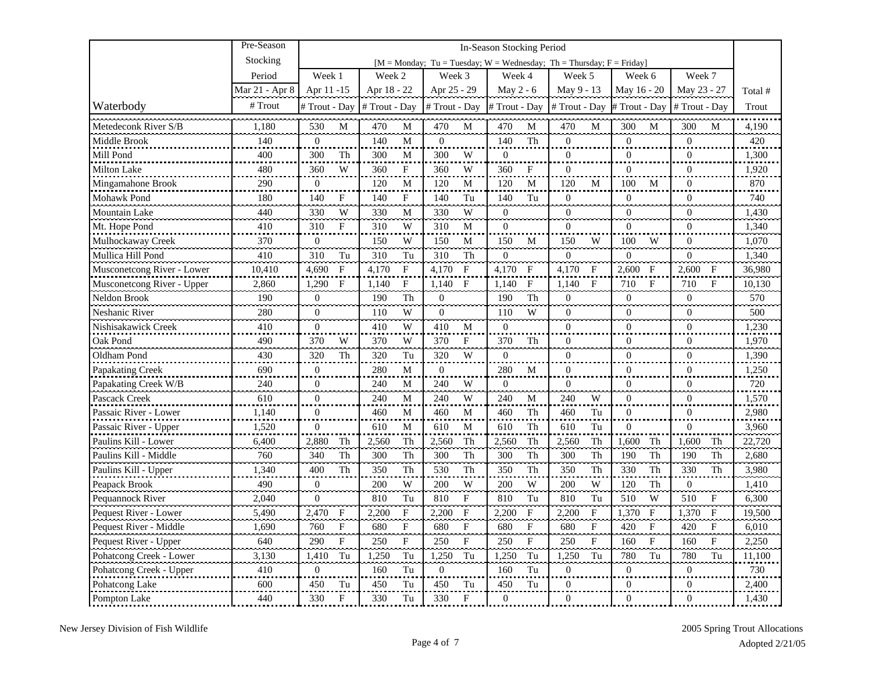|                            | Pre-Season     |                       |               |             |                      |              | In-Season Stocking Period |              |                                                                             |              |                      |            |                  |              |         |
|----------------------------|----------------|-----------------------|---------------|-------------|----------------------|--------------|---------------------------|--------------|-----------------------------------------------------------------------------|--------------|----------------------|------------|------------------|--------------|---------|
|                            | Stocking       |                       |               |             |                      |              |                           |              | [ $M = Monday$ ; Tu = Tuesday; $W = Wednesday$ ; Th = Thursday; F = Friday] |              |                      |            |                  |              |         |
|                            | Period         | Week 1                | Week 2        |             | Week 3               |              | Week 4                    |              | Week 5                                                                      |              | Week 6               |            | Week 7           |              |         |
|                            | Mar 21 - Apr 8 | Apr 11 -15            | Apr 18 - 22   |             | Apr 25 - 29          |              | May 2 - 6                 |              | May 9 - 13                                                                  |              | May 16 - 20          |            | May 23 - 27      |              | Total # |
| Waterbody                  | # Trout        | # Trout - Day         | # Trout - Day |             | # Trout - Day        |              | # Trout - Day             |              | # Trout - Day                                                               |              | # Trout - Day        |            | # Trout - Day    |              | Trout   |
| Metedeconk River S/B       | 1,180          | 530<br>M              | 470           | M           | 470                  | M            | 470                       | $\mathbf{M}$ | 470                                                                         | M            | 300                  | M          | 300              | M            | 4,190   |
| Middle Brook               | 140            | $\overline{0}$        | 140           | M           | $\overline{0}$       |              | 140                       | Th           | $\overline{0}$                                                              |              | $\overline{0}$       |            | $\overline{0}$   |              | 420     |
| Mill Pond                  | 400            | 300<br>Th             | 300           | M           | 300                  | W            | $\mathbf{0}$              |              | $\mathbf{0}$                                                                |              | $\overline{0}$       |            | $\Omega$         |              | 1,300   |
| <b>Milton Lake</b>         | 480            | W<br>360              | 360           | $\mathbf F$ | 360                  | W            | 360                       | F            | $\overline{0}$                                                              |              | $\overline{0}$       |            | $\overline{0}$   |              | 1,920   |
| Mingamahone Brook          | 290            | $\boldsymbol{0}$      | 120           | M           | 120                  | М            | 120                       | M            | 120                                                                         | M            | 100                  | M          | $\theta$         |              | 870     |
| Mohawk Pond                | 180            | 140<br>F              | 140           | $\mathbf F$ | 140                  | Tu           | 140                       | Tu           | $\overline{0}$                                                              |              | $\overline{0}$       |            | $\boldsymbol{0}$ |              | 740     |
| Mountain Lake              | 440            | W<br>330              | 330           | M           | 330                  | W            | $\overline{0}$            |              | $\theta$                                                                    |              | $\mathbf{0}$         |            | $\theta$         |              | 1,430   |
| Mt. Hope Pond              | 410            | 310<br>F              | 310           | W           | 310                  | M            | $\overline{0}$            |              | $\Omega$                                                                    |              | $\Omega$             |            | $\Omega$         |              | 1,340   |
| Mulhockaway Creek          | 370            | $\mathbf{0}$          | 150           | W           | 150                  | M            | 150                       | $\mathbf M$  | 150                                                                         | W            | 100                  | W          | $\Omega$         |              | 1,070   |
| Mullica Hill Pond          | 410            | 310<br>Tu             | 310           | Tu          | 310                  | Th           | $\theta$                  |              | $\theta$                                                                    |              | $\Omega$             |            | $\Omega$         |              | 1,340   |
| Musconetcong River - Lower | 10,410         | 4,690<br>$\mathbf{F}$ | 4,170         | $_{\rm F}$  | 4,170                | $\mathbf F$  | 4,170                     | $\mathbf{F}$ | 4,170                                                                       | $_{\rm F}$   | 2,600 F              |            | 2,600            | $\mathbf{F}$ | 36,980  |
| Musconetcong River - Upper | 2,860          | 1,290<br>$\mathbf F$  | 1,140         | F           | 1,140                | $\mathbf{F}$ | 1,140                     | $_{\rm F}$   | 1,140                                                                       | $\mathbf F$  | 710                  | $_{\rm F}$ | 710              | F            | 10,130  |
| Neldon Brook               | 190            | $\mathbf{0}$          | 190           | Th<br>محمد  | $\overline{0}$<br>ã. |              | 190                       | Th           | $\boldsymbol{0}$                                                            |              | $\overline{0}$<br>ш. |            | $\overline{0}$   |              | 570     |
| Neshanic River             | 280            | $\boldsymbol{0}$      | 110           | W           | $\boldsymbol{0}$     |              | 110                       | W            | $\mathbf{0}$                                                                |              | $\overline{0}$       |            | $\mathbf{0}$     |              | 500     |
| Nishisakawick Creek        | 410            | $\overline{0}$        | 410           | W           | 410                  | M            | $\overline{0}$            |              | $\overline{0}$                                                              |              | $\boldsymbol{0}$     |            | $\overline{0}$   |              | 1,230   |
| Oak Pond                   | 490            | 370<br>W              | 370           | W           | 370                  | F            | 370                       | Th           | $\Omega$                                                                    |              | $\Omega$             |            | $\Omega$         |              | 1,970   |
| <b>Oldham Pond</b>         | 430            | 320<br>Th             | 320           | Tu          | 320                  | W            | $\mathbf{0}$              |              | $\overline{0}$                                                              |              | $\overline{0}$       |            | $\overline{0}$   |              | 1,390   |
| Papakating Creek           | 690            | $\overline{0}$        | 280           | M           | $\mathbf{0}$         |              | 280                       | M            | $\overline{0}$                                                              |              | $\mathbf{0}$         |            | $\theta$         |              | 1,250   |
| Papakating Creek W/B       | 240            | $\mathbf{0}$          | 240           | M           | 240                  | W            | $\overline{0}$            |              | $\theta$                                                                    |              | $\overline{0}$       |            | $\theta$         |              | 720     |
| Pascack Creek              | 610            | $\mathbf{0}$          | 240           | M           | 240                  | W            | 240                       | M            | 240                                                                         | W            | $\overline{0}$       |            | $\Omega$         |              | 1,570   |
| Passaic River - Lower      | 1,140          | $\mathbf{0}$          | 460           | M           | 460                  | M            | 460                       | Th           | 460                                                                         | Tu           | $\overline{0}$       |            | $\overline{0}$   |              | 2,980   |
| Passaic River - Upper      | 1,520          | $\boldsymbol{0}$      | 610           | M           | 610                  | М            | 610                       | Th           | 610                                                                         | Tu           | $\mathbf{0}$         |            | $\mathbf{0}$     |              | 3,960   |
| Paulins Kill - Lower       | 6,400          | 2,880<br>Th           | 2,560         | Th          | 2,560                | Th           | 2,560                     | Th           | 2,560                                                                       | Th           | 1,600                | Th         | 1,600            | Th           | 22,720  |
| Paulins Kill - Middle      | 760            | 340<br>Th             | 300           | Th          | 300                  | Th           | 300                       | Th           | 300                                                                         | Th           | 190                  | Th         | 190              | Th           | 2,680   |
| Paulins Kill - Upper       | 1,340          | 400<br>Th             | 350           | Th          | 530                  | Th           | 350                       | Th           | 350                                                                         | Th           | 330                  | Th         | 330              | Th           | 3,980   |
| Peapack Brook              | 490            | $\mathbf{0}$          | 200           | W           | 200                  | W            | 200                       | W            | 200                                                                         | W            | 120                  | Th         | $\mathbf{0}$     |              | 1,410   |
| Pequannock River           | 2.040          | $\Omega$              | 810           | Tu          | 810                  | $_{\rm F}$   | 810                       | Tu           | 810                                                                         | Tu           | 510                  | W          | 510              | $\mathbf F$  | 6,300   |
| Pequest River - Lower      | 5,490          | 2,470<br>$\mathbf{F}$ | 2,200         | $\mathbf F$ | 2,200                | $\rm F$      | 2,200                     | $\mathbf F$  | 2,200                                                                       | $\mathbf{F}$ | 1,370 F              |            | 1,370            | $\mathbf{F}$ | 19,500  |
| Pequest River - Middle     | 1,690          | 760<br>F              | 680           | F           | 680                  | F            | 680                       | $\mathbf{F}$ | 680                                                                         | F            | 420                  | F          | 420              | F            | 6,010   |
| Pequest River - Upper      | 640            | 290<br>F              | 250           | F           | 250                  | F            | 250                       | F            | 250                                                                         | F            | 160                  | F          | 160              | F            | 2,250   |
| Pohatcong Creek - Lower    | 3,130          | 1,410<br>Tu           | 1,250         | Tu          | 1,250                | Tu           | 1,250                     | Tu           | 1,250                                                                       | Tu           | 780                  | Tu         | 780              | Tu           | 11,100  |
| Pohatcong Creek - Upper    | 410            | $\mathbf{0}$          | 160           | Tu          | $\overline{0}$       |              | 160                       | Tu           | $\mathbf{0}$                                                                |              | $\overline{0}$       |            | $\mathbf{0}$     |              | 730     |
| Pohatcong Lake             | 600            | 450<br>Tu             | 450           | Tu          | 450                  | Tu           | 450                       | Tu           | $\Omega$                                                                    |              | $\Omega$             |            | $\theta$         |              | 2,400   |
| Pompton Lake               | 440            | 330<br>F              | 330           | Tu          | 330                  | F            | $\overline{0}$            |              | $\Omega$                                                                    |              | $\overline{0}$       |            | $\Omega$         |              | 1,430   |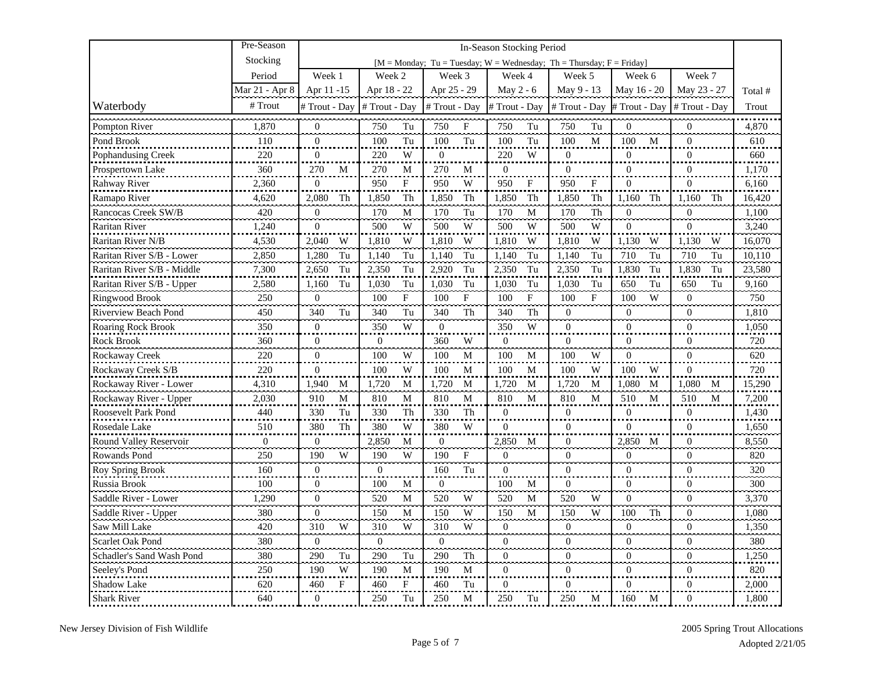|                            | Pre-Season     |                  |                  |                                                                      | In-Season Stocking Period        |                  |                       |                  |         |
|----------------------------|----------------|------------------|------------------|----------------------------------------------------------------------|----------------------------------|------------------|-----------------------|------------------|---------|
|                            | Stocking       |                  |                  | [M = Monday; Tu = Tuesday; W = Wednesday; Th = Thursday; F = Friday] |                                  |                  |                       |                  |         |
|                            | Period         | Week 1           | Week 2           | Week 3                                                               | Week 4                           | Week 5           | Week 6                | Week 7           |         |
|                            | Mar 21 - Apr 8 | Apr 11 -15       | Apr 18 - 22      | Apr 25 - 29                                                          | May 2 - 6                        | May 9 - 13       | May 16 - 20           | May 23 - 27      | Total # |
| Waterbody                  | # Trout        | # Trout - Day    | # Trout - Day    | # Trout - Day                                                        | # Trout - Day                    | # Trout - Day    | # Trout - Day         | # Trout - Day    | Trout   |
| Pompton River              | 1,870          | $\mathbf{0}$     | 750<br>Tu        | 750<br>$\boldsymbol{\mathrm{F}}$                                     | 750<br>Tu                        | 750<br>Tu        | $\overline{0}$        | $\mathbf{0}$     | 4,870   |
| Pond Brook                 | 110            | $\overline{0}$   | 100<br>Tu        | 100<br>Tu                                                            | 100<br>Tu                        | 100<br>M         | 100<br>M              | $\mathbf{0}$     | 610     |
| Pophandusing Creek         | 220            | $\Omega$         | 220<br>W         | $\overline{0}$                                                       | 220<br>W                         | $\theta$         | $\overline{0}$        | $\Omega$         | 660     |
| Prospertown Lake           | 360            | 270<br>M         | 270<br>M         | 270<br>М                                                             | $\overline{0}$                   | $\mathbf{0}$     | $\overline{0}$        | $\theta$         | 1,170   |
| Rahway River               | 2,360          | $\mathbf{0}$     | F<br>950         | W<br>950                                                             | 950<br>F                         | 950<br>F         | $\overline{0}$        | $\theta$         | 6,160   |
| Ramapo River               | 4,620          | 2,080<br>Th      | Th<br>1,850      | Th<br>1,850                                                          | Th<br>1,850                      | Th<br>1,850      | Th<br>1,160           | 1,160<br>Th      | 16,420  |
| Rancocas Creek SW/B        | 420            | $\Omega$         | 170<br>M         | Tu<br>170                                                            | 170<br>M                         | Th<br>170        | $\overline{0}$        | $\Omega$         | 1,100   |
| Raritan River              | 1,240          | $\overline{0}$   | W<br>500         | W<br>500                                                             | W<br>500                         | W<br>500         | $\overline{0}$        | $\mathbf{0}$     | 3,240   |
| Raritan River N/B          | 4,530          | 2.040<br>W       | 1,810<br>W       | 1,810<br>W                                                           | 1,810<br>W                       | 1,810<br>W       | W<br>1.130            | 1.130<br>W       | 16,070  |
| Raritan River S/B - Lower  | 2,850          | 1,280<br>Tu      | 1,140<br>Tu      | 1,140<br>Tu                                                          | 1,140<br>Tu                      | 1.140<br>Tu      | 710<br>Tu             | 710<br>Tu        | 10,110  |
| Raritan River S/B - Middle | 7,300          | 2,650<br>Tu      | 2,350<br>Tu      | 2,920<br>Tu                                                          | 2,350<br>Tu                      | 2,350<br>Tu      | 1,830<br>Tu           | 1,830<br>Tu      | 23,580  |
| Raritan River S/B - Upper  | 2,580          | 1,160<br>Tu      | 1,030<br>Tu      | 1,030<br>Tu                                                          | 1,030<br>Tu                      | 1,030<br>Tu      | 650<br>Tu             | 650<br>Tu        | 9,160   |
| <b>Ringwood Brook</b>      | 250            | $\boldsymbol{0}$ | 100<br>${\rm F}$ | 100<br>F                                                             | $\boldsymbol{\mathrm{F}}$<br>100 | 100<br>F         | 100<br>W              | $\boldsymbol{0}$ | 750     |
| Riverview Beach Pond       | 450            | 340<br>Tu        | 340<br>Tu        | 340<br>Th                                                            | 340<br>Th                        | $\overline{0}$   | $\overline{0}$        | $\mathbf{0}$     | 1,810   |
| Roaring Rock Brook         | 350            | $\boldsymbol{0}$ | 350<br>W         | $\boldsymbol{0}$                                                     | W<br>350                         | $\mathbf{0}$     | $\boldsymbol{0}$      | $\theta$         | 1,050   |
| Rock Brook                 | 360            | $\Omega$         | $\Omega$         | 360<br>W                                                             | $\theta$                         | $\theta$         | $\Omega$              | $\Omega$         | 720     |
| Rockaway Creek             | 220            | $\boldsymbol{0}$ | W<br>100         | 100<br>М                                                             | 100<br>M                         | W<br>100         | $\boldsymbol{0}$      | $\Omega$         | 620     |
| Rockaway Creek S/B         | 220            | $\Omega$         | 100<br>W         | 100<br>M                                                             | 100<br>M                         | 100<br>W         | 100<br>W              | $\Omega$         | 720     |
| Rockaway River - Lower     | 4,310          | 1,940<br>M       | 1,720<br>M       | 1,720<br>M                                                           | 1.720<br>M                       | 1.720<br>M       | 1,080<br>M            | 1,080<br>M       | 15,290  |
| Rockaway River - Upper     | 2,030          | 910<br>M         | 810<br>M         | 810<br>M                                                             | 810<br>M                         | 810<br>M         | 510<br>M              | 510<br>M         | 7,200   |
| Roosevelt Park Pond        | 440            | 330<br>Tu        | 330<br>Th        | 330<br>Th                                                            | $\mathbf{0}$                     | $\mathbf{0}$     | $\overline{0}$        | $\mathbf{0}$     | 1,430   |
| Rosedale Lake              | 510            | 380<br>Th        | W<br>380         | W<br>380                                                             | $\boldsymbol{0}$                 | $\mathbf{0}$     | $\boldsymbol{0}$      | $\theta$         | 1,650   |
| Round Valley Reservoir     | $\overline{0}$ | $\overline{0}$   | 2,850<br>M       | $\overline{0}$                                                       | 2,850<br>M                       | $\mathbf{0}$     | 2,850<br>M            | $\mathbf{0}$     | 8,550   |
| Rowands Pond               | 250            | 190<br>W         | W<br>190         | $\mathbf F$<br>190                                                   | $\Omega$                         | $\theta$         | $\Omega$              | $\theta$         | 820     |
| Roy Spring Brook           | 160            | $\mathbf{0}$     | $\mathbf{0}$     | Tu<br>160                                                            | $\theta$                         | $\theta$         | $\mathbf{0}$<br>محامل | $\theta$         | 320     |
| Russia Brook               | 100            | $\Omega$         | 100<br>M         | $\mathbf{0}$                                                         | 100<br>M                         | $\Omega$         | $\Omega$              | $\theta$         | 300     |
| Saddle River - Lower       | 1,290          | $\mathbf{0}$     | 520<br>M         | W<br>520                                                             | 520<br>M                         | 520<br>W         | $\overline{0}$        | $\theta$         | 3,370   |
| Saddle River - Upper       | 380            | $\mathbf{0}$     | 150<br>M         | W<br>150                                                             | 150<br>$\mathbf M$               | 150<br>W         | 100<br>Th             | $\overline{0}$   | 1,080   |
| Saw Mill Lake              | 420            | 310<br>W         | 310<br>W         | 310<br>W                                                             | $\overline{0}$                   | $\overline{0}$   | $\overline{0}$        | $\overline{0}$   | 1,350   |
| <b>Scarlet Oak Pond</b>    | 380            | $\boldsymbol{0}$ | $\boldsymbol{0}$ | $\boldsymbol{0}$                                                     | $\boldsymbol{0}$                 | $\boldsymbol{0}$ | $\boldsymbol{0}$      | $\overline{0}$   | 380     |
| Schadler's Sand Wash Pond  | 380            | 290<br>Tu        | 290<br>Tu        | 290<br>Th                                                            | $\overline{0}$                   | $\mathbf{0}$     | $\mathbf{0}$          | $\overline{0}$   | 1,250   |
| Seeley's Pond              | 250            | W<br>190         | 190<br>M         | 190<br>M                                                             | $\mathbf{0}$                     | $\boldsymbol{0}$ | $\boldsymbol{0}$      | $\overline{0}$   | 820     |
| <b>Shadow Lake</b>         | 620            | 460<br>F         | 460<br>F         | 460<br>Tu                                                            | $\Omega$                         | $\theta$         | $\Omega$              | $\Omega$         | 2,000   |
| <b>Shark River</b>         | 640            | $\theta$         | 250<br>Tu        | 250<br>M                                                             | 250<br>Tu                        | 250<br>М         | 160<br>М              | $\overline{0}$   | 1,800   |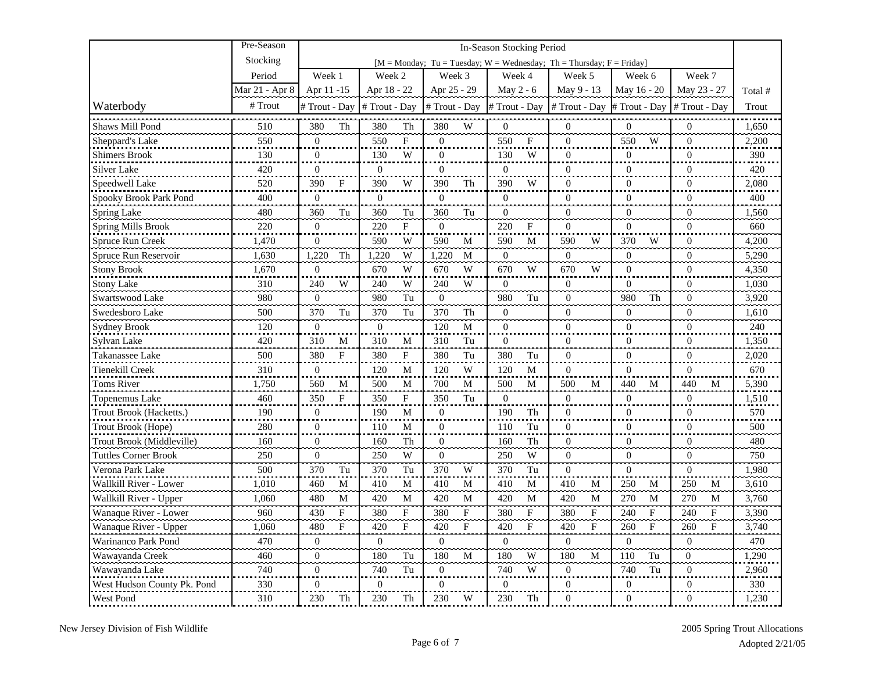|                             | Pre-Season     |                     |                     |                                                                      | In-Season Stocking Period |                    |                           |                   |         |
|-----------------------------|----------------|---------------------|---------------------|----------------------------------------------------------------------|---------------------------|--------------------|---------------------------|-------------------|---------|
|                             | Stocking       |                     |                     | [M = Monday; Tu = Tuesday; W = Wednesday; Th = Thursday; F = Friday] |                           |                    |                           |                   |         |
|                             | Period         | Week 1              | Week 2              | Week 3                                                               | Week 4                    | Week 5             | Week 6                    | Week 7            |         |
|                             | Mar 21 - Apr 8 | Apr 11 -15          | Apr 18 - 22         | Apr 25 - 29                                                          | May 2 - 6                 | May 9 - 13         | May 16 - 20               | May 23 - 27       | Total # |
| Waterbody                   | # Trout        | # Trout - Day       | # Trout - Day       | # Trout - Day                                                        | # Trout - Day             | # Trout - Day      | # Trout - Day             | # Trout - Day     | Trout   |
| Shaws Mill Pond             | 510            | 380<br>Th           | 380<br>Th           | 380<br>W                                                             | $\overline{0}$            | $\overline{0}$     | $\overline{0}$            | $\overline{0}$    | 1,650   |
| Sheppard's Lake             | 550            | $\mathbf{0}$        | 550<br>$\mathbf{F}$ | $\overline{0}$                                                       | 550<br>F                  | $\mathbf{0}$       | 550<br>W                  | $\overline{0}$    | 2,200   |
| <b>Shimers Brook</b>        | 130            | $\mathbf{0}$        | 130<br>W            | $\overline{0}$                                                       | 130<br>W                  | $\Omega$           | $\overline{0}$            | $\theta$          | 390     |
| Silver Lake                 | 420            | $\overline{0}$      | $\overline{0}$      | $\overline{0}$                                                       | $\overline{0}$            | $\overline{0}$     | $\overline{0}$            | $\overline{0}$    | 420     |
| Speedwell Lake              | 520            | 390<br>F            | 390<br>W            | 390<br>Th                                                            | 390<br>W                  | $\theta$           | $\overline{0}$            | $\Omega$          | 2,080   |
| Spooky Brook Park Pond      | 400            | $\mathbf{0}$        | $\boldsymbol{0}$    | $\boldsymbol{0}$                                                     | $\overline{0}$            | $\boldsymbol{0}$   | $\boldsymbol{0}$          | $\boldsymbol{0}$  | 400     |
| <b>Spring Lake</b>          | 480            | 360<br>Tu           | Tu<br>360           | Tu<br>360                                                            | $\theta$                  | $\overline{0}$     | $\boldsymbol{0}$          | $\overline{0}$    | 1,560   |
| <b>Spring Mills Brook</b>   | 220            | $\theta$            | 220<br>$\mathbf{F}$ | $\theta$                                                             | 220<br>F                  | $\theta$           | $\Omega$                  | $\theta$          | 660     |
| Spruce Run Creek            | 1,470          | $\boldsymbol{0}$    | W<br>590            | 590<br>M                                                             | $\mathbf{M}$<br>590       | W<br>590           | 370<br>W                  | $\Omega$          | 4,200   |
| Spruce Run Reservoir        | 1,630          | 1.220<br>Th         | 1.220<br>W          | 1.220<br>M                                                           | $\theta$                  | $\theta$           | $\overline{0}$            | $\Omega$          | 5,290   |
| <b>Stony Brook</b>          | 1,670          | $\boldsymbol{0}$    | 670<br>W            | 670<br>W                                                             | W<br>670                  | 670<br>W           | $\boldsymbol{0}$          | $\Omega$          | 4,350   |
| <b>Stony Lake</b>           | 310            | 240<br>W            | 240<br>W            | 240<br>W                                                             | $\overline{0}$            | $\overline{0}$     | $\overline{0}$            | $\mathbf{0}$      | 1,030   |
| Swartswood Lake             | 980            | $\mathbf{0}$        | 980<br>Tu<br>.      | $\mathbf{0}$<br>ńн.                                                  | 980<br>Tu                 | $\mathbf{0}$       | 980<br>Th                 | $\mathbf{0}$      | 3,920   |
| Swedesboro Lake             | 500            | 370<br>Tu           | 370<br>Tu           | 370<br>Th                                                            | $\boldsymbol{0}$          | $\boldsymbol{0}$   | $\mathbf{0}$              | $\mathbf{0}$      | 1,610   |
| <b>Sydney Brook</b>         | 120            | $\boldsymbol{0}$    | $\overline{0}$      | 120<br>M                                                             | $\boldsymbol{0}$          | $\boldsymbol{0}$   | $\boldsymbol{0}$          | $\boldsymbol{0}$  | 240     |
| Sylvan Lake                 | 420            | 310<br>M            | 310<br>M            | Tu<br>310                                                            | $\Omega$                  | $\theta$           | $\Omega$                  | $\theta$          | 1,350   |
| Takanassee Lake             | 500            | 380<br>F            | 380<br>F            | 380<br>Tu                                                            | 380<br>Tu                 | $\theta$           | $\mathbf{0}$              | $\boldsymbol{0}$  | 2,020   |
| Tienekill Creek             | 310            | $\mathbf{0}$        | 120<br>M            | W<br>120                                                             | M<br>120                  | $\overline{0}$     | $\mathbf{0}$              | $\Omega$          | 670     |
| <b>Toms River</b>           | 1,750          | 560<br>M            | 500<br>M            | 700<br>M                                                             | 500<br>M                  | 500<br>M           | 440<br>M                  | 440<br>M          | 5,390   |
| Topenemus Lake              | 460            | 350<br>$\mathbf{F}$ | 350<br>$\mathbf{F}$ | 350<br>Tu                                                            | $\Omega$                  | $\overline{0}$     | $\overline{0}$            | $\overline{0}$    | 1,510   |
| Trout Brook (Hacketts.)     | 190            | $\boldsymbol{0}$    | 190<br>M            | $\overline{0}$                                                       | 190<br>Th                 | $\mathbf{0}$       | $\overline{0}$            | $\theta$          | 570     |
| Trout Brook (Hope)          | 280            | $\overline{0}$      | 110<br>M            | $\overline{0}$                                                       | 110<br>Tu                 | $\mathbf{0}$       | $\overline{0}$            | $\overline{0}$    | 500     |
| Trout Brook (Middleville)   | 160            | $\mathbf{0}$        | 160<br>Th           | $\overline{0}$                                                       | Th<br>160                 | $\boldsymbol{0}$   | $\boldsymbol{0}$          | $\mathbf{0}$      | 480     |
| <b>Tuttles Corner Brook</b> | 250            | $\boldsymbol{0}$    | W<br>250            | $\mathbf{0}$                                                         | W<br>250                  | $\theta$           | $\overline{0}$            | $\theta$          | 750     |
| Verona Park Lake            | 500            | 370<br>Tu           | 370<br>Tu           | W<br>370                                                             | 370<br>Tu                 | $\Omega$           | $\mathbf{0}$              | $\mathbf{0}$      | 1,980   |
| Wallkill River - Lower      | 1,010          | 460<br>$\mathbf M$  | 410<br>M            | 410<br>M                                                             | M<br>410                  | 410<br>M           | 250<br>M                  | 250<br>M          | 3,610   |
| Wallkill River - Upper      | 1,060          | 480<br>$\mathbf M$  | 420<br>M            | 420<br>$\mathbf M$                                                   | 420<br>$\mathbf{M}$       | 420<br>$\mathbf M$ | 270<br>$\mathbf M$        | 270<br>${\bf M}$  | 3,760   |
| Wanaque River - Lower       | 960            | 430<br>$\mathbf{F}$ | 380<br>$\mathbf{F}$ | 380<br>$\mathbf{F}$                                                  | 380<br>$\mathbf F$        | 380<br>F           | 240<br>$\mathbf{F}$       | 240<br>$_{\rm F}$ | 3.390   |
| Wanaque River - Upper       | 1,060          | 480<br>F            | 420<br>$\mathbf{F}$ | 420<br>$\mathbf F$                                                   | 420<br>F                  | 420<br>F           | 260<br>$\dot{\mathbf{F}}$ | 260<br>F          | 3,740   |
| Warinanco Park Pond         | 470            | $\overline{0}$      | $\mathbf{0}$        | $\overline{0}$                                                       | $\overline{0}$            | $\overline{0}$     | $\overline{0}$            | $\overline{0}$    | 470     |
| Wawayanda Creek             | 460            | $\mathbf{0}$        | 180<br>Tu           | 180<br>M                                                             | 180<br>W                  | 180<br>M           | 110<br>Tu                 | $\boldsymbol{0}$  | 1,290   |
| Wawayanda Lake              | 740            | $\boldsymbol{0}$    | 740<br>Tu           | $\boldsymbol{0}$                                                     | W<br>740                  | $\theta$           | 740<br>Tu                 | $\overline{0}$    | 2,960   |
| West Hudson County Pk. Pond | 330            | $\overline{0}$      | $\mathbf{0}$        | $\boldsymbol{0}$                                                     | $\theta$                  | $\boldsymbol{0}$   | $\boldsymbol{0}$          | $\overline{0}$    | 330     |
| West Pond                   | 310            | 230<br>Th           | 230<br>Th           | 230<br>W                                                             | 230<br>Th                 | $\Omega$           | $\overline{0}$            | $\Omega$          | 1,230   |